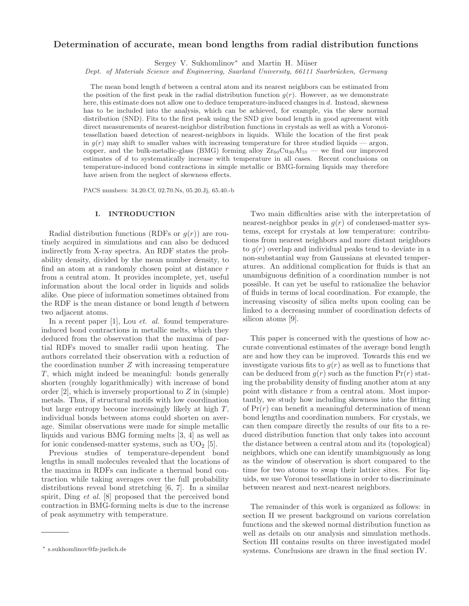# Determination of accurate, mean bond lengths from radial distribution functions

Sergey V. Sukhomlinov<sup>\*</sup> and Martin H. Müser

Dept. of Materials Science and Engineering, Saarland University, 66111 Saarbrücken, Germany

The mean bond length d between a central atom and its nearest neighbors can be estimated from the position of the first peak in the radial distribution function  $q(r)$ . However, as we demonstrate here, this estimate does not allow one to deduce temperature-induced changes in d. Instead, skewness has to be included into the analysis, which can be achieved, for example, via the skew normal distribution (SND). Fits to the first peak using the SND give bond length in good agreement with direct measurements of nearest-neighbor distribution functions in crystals as well as with a Voronoitessellation based detection of nearest-neighbors in liquids. While the location of the first peak in  $g(r)$  may shift to smaller values with increasing temperature for three studied liquids — argon, copper, and the bulk-metallic-glass (BMG) forming alloy  $Zr_{60}Cu_{30}Al_{10}$  — we find our improved estimates of d to systematically increase with temperature in all cases. Recent conclusions on temperature-induced bond contractions in simple metallic or BMG-forming liquids may therefore have arisen from the neglect of skewness effects.

PACS numbers: 34.20.Cf, 02.70.Ns, 05.20.Jj, 65.40.-b

# I. INTRODUCTION

Radial distribution functions (RDFs or  $g(r)$ ) are routinely acquired in simulations and can also be deduced indirectly from X-ray spectra. An RDF states the probability density, divided by the mean number density, to find an atom at a randomly chosen point at distance r from a central atom. It provides incomplete, yet, useful information about the local order in liquids and solids alike. One piece of information sometimes obtained from the RDF is the mean distance or bond length d between two adjacent atoms.

In a recent paper [1], Lou *et. al.* found temperatureinduced bond contractions in metallic melts, which they deduced from the observation that the maxima of partial RDFs moved to smaller radii upon heating. The authors correlated their observation with a reduction of the coordination number  $Z$  with increasing temperature T, which might indeed be meaningful: bonds generally shorten (roughly logarithmically) with increase of bond order  $[2]$ , which is inversely proportional to  $Z$  in (simple) metals. Thus, if structural motifs with low coordination but large entropy become increasingly likely at high T, individual bonds between atoms could shorten on average. Similar observations were made for simple metallic liquids and various BMG forming melts [3, 4] as well as for ionic condensed-matter systems, such as  $UO<sub>2</sub>$  [5].

Previous studies of temperature-dependent bond lengths in small molecules revealed that the locations of the maxima in RDFs can indicate a thermal bond contraction while taking averages over the full probability distributions reveal bond stretching [6, 7]. In a similar spirit, Ding *et al.* [8] proposed that the perceived bond contraction in BMG-forming melts is due to the increase of peak asymmetry with temperature.

Two main difficulties arise with the interpretation of nearest-neighbor peaks in  $g(r)$  of condensed-matter systems, except for crystals at low temperature: contributions from nearest neighbors and more distant neighbors to  $g(r)$  overlap and individual peaks tend to deviate in a non-substantial way from Gaussians at elevated temperatures. An additional complication for fluids is that an unambiguous definition of a coordination number is not possible. It can yet be useful to rationalize the behavior of fluids in terms of local coordination. For example, the increasing viscosity of silica melts upon cooling can be linked to a decreasing number of coordination defects of silicon atoms [9].

This paper is concerned with the questions of how accurate conventional estimates of the average bond length are and how they can be improved. Towards this end we investigate various fits to  $g(r)$  as well as to functions that can be deduced from  $g(r)$  such as the function  $Pr(r)$  stating the probability density of finding another atom at any point with distance r from a central atom. Most importantly, we study how including skewness into the fitting of  $Pr(r)$  can benefit a meaningful determination of mean bond lengths and coordination numbers. For crystals, we can then compare directly the results of our fits to a reduced distribution function that only takes into account the distance between a central atom and its (topological) neighbors, which one can identify unambiguously as long as the window of observation is short compared to the time for two atoms to swap their lattice sites. For liquids, we use Voronoi tessellations in order to discriminate between nearest and next-nearest neighbors.

The remainder of this work is organized as follows: in section II we present background on various correlation functions and the skewed normal distribution function as well as details on our analysis and simulation methods. Section III contains results on three investigated model systems. Conclusions are drawn in the final section IV.

<sup>∗</sup> s.sukhomlinov@fz-juelich.de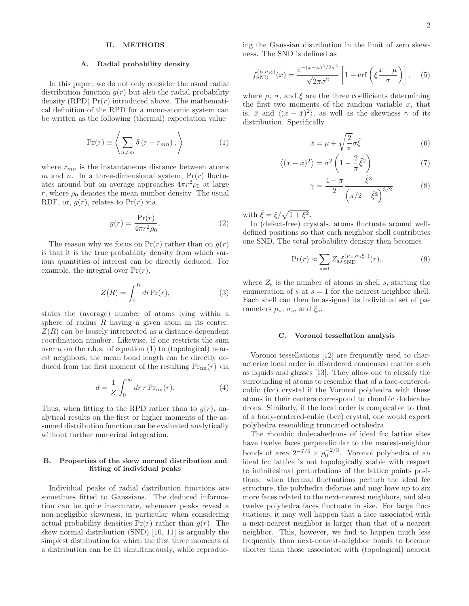# II. METHODS

### A. Radial probability density

In this paper, we do not only consider the usual radial distribution function  $g(r)$  but also the radial probability density (RPD)  $Pr(r)$  introduced above. The mathematical definition of the RPD for a mono-atomic system can be written as the following (thermal) expectation value

$$
\Pr(r) \equiv \left\langle \sum_{n \neq m} \delta(r - r_{mn}), \right\rangle \tag{1}
$$

where  $r_{mn}$  is the instantaneous distance between atoms m and n. In a three-dimensional system,  $Pr(r)$  fluctuates around but on average approaches  $4\pi r^2 \rho_0$  at large r, where  $\rho_0$  denotes the mean number density. The usual RDF, or,  $q(r)$ , relates to  $Pr(r)$  via

$$
g(r) = \frac{\Pr(r)}{4\pi r^2 \rho_0}.
$$
 (2)

The reason why we focus on  $Pr(r)$  rather than on  $g(r)$ is that it is the true probability density from which various quantities of interest can be directly deduced. For example, the integral over  $Pr(r)$ ,

$$
Z(R) = \int_0^R dr \Pr(r),\tag{3}
$$

states the (average) number of atoms lying within a sphere of radius  $R$  having a given atom in its center.  $Z(R)$  can be loosely interpreted as a distance-dependent coordination number. Likewise, if one restricts the sum over n on the r.h.s. of equation  $(1)$  to (topological) nearest neighbors, the mean bond length can be directly deduced from the first moment of the resulting  $Pr_{nn}(r)$  via

$$
d = \frac{1}{Z} \int_0^\infty dr \, r \, \text{Pr}_{\text{nn}}(r). \tag{4}
$$

Thus, when fitting to the RPD rather than to  $g(r)$ , analytical results on the first or higher moments of the assumed distribution function can be evaluated analytically without further numerical integration.

## B. Properties of the skew normal distribution and fitting of individual peaks

Individual peaks of radial distribution functions are sometimes fitted to Gaussians. The deduced information can be quite inaccurate, whenever peaks reveal a non-negligible skewness, in particular when considering actual probability densities  $Pr(r)$  rather than  $q(r)$ . The skew normal distribution (SND) [10, 11] is arguably the simplest distribution for which the first three moments of a distribution can be fit simultaneously, while reproducing the Gaussian distribution in the limit of zero skewness. The SND is defined as

$$
f_{\text{SND}}^{(\mu,\sigma,\xi)}(x) = \frac{e^{-(x-\mu)^2/2\sigma^2}}{\sqrt{2\pi\sigma^2}} \left[1 + \text{erf}\left(\xi \frac{x-\mu}{\sigma}\right)\right],\quad(5)
$$

where  $\mu$ ,  $\sigma$ , and  $\xi$  are the three coefficients determining the first two moments of the random variable  $x$ , that is,  $\bar{x}$  and  $\langle (x - \bar{x})^2 \rangle$ , as well as the skewness  $\gamma$  of its distribution. Specifically

$$
\bar{x} = \mu + \sqrt{\frac{2}{\pi}} \sigma \tilde{\xi}
$$
 (6)

$$
\langle (x - \bar{x})^2 \rangle = \sigma^2 \left( 1 - \frac{2}{\pi} \tilde{\xi}^2 \right) \tag{7}
$$

$$
\gamma = \frac{4 - \pi}{2} \frac{\tilde{\xi}^3}{\left(\pi/2 - \tilde{\xi}^2\right)^{3/2}} \tag{8}
$$

with  $\tilde{\xi} = \xi / \sqrt{1 + \xi^2}$ .

In (defect-free) crystals, atoms fluctuate around welldefined positions so that each neighbor shell contributes one SND. The total probability density then becomes

$$
\Pr(r) \approx \sum_{s=1} Z_s f_{\text{SND}}^{(\mu_s, \sigma_s \xi_s)}(r),\tag{9}
$$

where  $Z_s$  is the number of atoms in shell s, starting the enumeration of s at  $s = 1$  for the nearest-neighbor shell. Each shell can then be assigned its individual set of parameters  $\mu_s$ ,  $\sigma_s$ , and  $\xi_s$ .

# C. Voronoi tessellation analysis

Voronoi tessellations [12] are frequently used to characterize local order in disordered condensed matter such as liquids and glasses [13]. They allow one to classify the surrounding of atoms to resemble that of a face-centeredcubic (fcc) crystal if the Voronoi polyhedra with these atoms in their centers correspond to rhombic dodecahedrons. Similarly, if the local order is comparable to that of a body-centered-cubic (bcc) crystal, one would expect polyhedra resembling truncated octahedra.

The rhombic dodecahedrons of ideal fcc lattice sites have twelve faces perpendicular to the nearest-neighbor bonds of area  $2^{-7/6} \times \rho_0^{-2/3}$ . Voronoi polyhedra of an ideal fcc lattice is not topologically stable with respect to infinitesimal perturbations of the lattice points positions: when thermal fluctuations perturb the ideal fcc structure, the polyhedra deforms and may have up to six more faces related to the next-nearest neighbors, and also twelve polyhedra faces fluctuate in size. For large fluctuations, it may well happen that a face associated with a next-nearest neighbor is larger than that of a nearest neighbor. This, however, we find to happen much less frequently than next-nearest-neighbor bonds to become shorter than those associated with (topological) nearest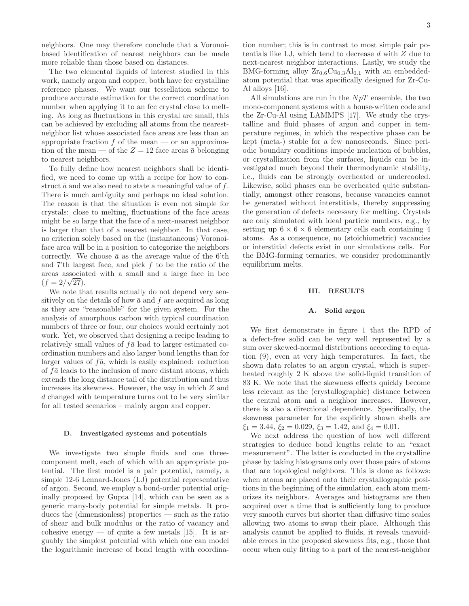neighbors. One may therefore conclude that a Voronoibased identification of nearest neighbors can be made more reliable than those based on distances.

The two elemental liquids of interest studied in this work, namely argon and copper, both have fcc crystalline reference phases. We want our tessellation scheme to produce accurate estimation for the correct coordination number when applying it to an fcc crystal close to melting. As long as fluctuations in this crystal are small, this can be achieved by excluding all atoms from the nearestneighbor list whose associated face areas are less than an appropriate fraction  $f$  of the mean — or an approximation of the mean — of the  $Z = 12$  face areas  $\bar{a}$  belonging to nearest neighbors.

To fully define how nearest neighbors shall be identified, we need to come up with a recipe for how to construct  $\bar{a}$  and we also need to state a meaningful value of f. There is much ambiguity and perhaps no ideal solution. The reason is that the situation is even not simple for crystals: close to melting, fluctuations of the face areas might be so large that the face of a next-nearest neighbor is larger than that of a nearest neighbor. In that case, no criterion solely based on the (instantaneous) Voronoiface area will be in a position to categorize the neighbors correctly. We choose  $\bar{a}$  as the average value of the 6'th and 7'th largest face, and pick  $f$  to be the ratio of the areas associated with a small and a large face in bcc  $(f = 2/\sqrt{27}).$ 

We note that results actually do not depend very sensitively on the details of how  $\bar{a}$  and  $f$  are acquired as long as they are "reasonable" for the given system. For the analysis of amorphous carbon with typical coordination numbers of three or four, our choices would certainly not work. Yet, we observed that designing a recipe leading to relatively small values of  $f\bar{a}$  lead to larger estimated coordination numbers and also larger bond lengths than for larger values of  $f\bar{a}$ , which is easily explained: reduction of  $f\bar{a}$  leads to the inclusion of more distant atoms, which extends the long distance tail of the distribution and thus increases its skewness. However, the way in which Z and d changed with temperature turns out to be very similar for all tested scenarios – mainly argon and copper.

#### D. Investigated systems and potentials

We investigate two simple fluids and one threecomponent melt, each of which with an appropriate potential. The first model is a pair potential, namely, a simple 12-6 Lennard-Jones (LJ) potential representative of argon. Second, we employ a bond-order potential originally proposed by Gupta [14], which can be seen as a generic many-body potential for simple metals. It produces the (dimensionless) properties — such as the ratio of shear and bulk modulus or the ratio of vacancy and cohesive energy — of quite a few metals  $[15]$ . It is arguably the simplest potential with which one can model the logarithmic increase of bond length with coordination number; this is in contrast to most simple pair potentials like LJ, which tend to decrease  $d$  with  $Z$  due to next-nearest neighbor interactions. Lastly, we study the BMG-forming alloy  $Zr_{0.6}Cu_{0.3}Al_{0.1}$  with an embeddedatom potential that was specifically designed for Zr-Cu-Al alloys [16].

All simulations are run in the  $NpT$  ensemble, the two mono-component systems with a house-written code and the Zr-Cu-Al using LAMMPS [17]. We study the crystalline and fluid phases of argon and copper in temperature regimes, in which the respective phase can be kept (meta-) stable for a few nanoseconds. Since periodic boundary conditions impede nucleation of bubbles, or crystallization from the surfaces, liquids can be investigated much beyond their thermodynamic stability, i.e., fluids can be strongly overheated or undercooled. Likewise, solid phases can be overheated quite substantially, amongst other reasons, because vacancies cannot be generated without interstitials, thereby suppressing the generation of defects necessary for melting. Crystals are only simulated with ideal particle numbers, e.g., by setting up  $6 \times 6 \times 6$  elementary cells each containing 4 atoms. As a consequence, no (stoichiometric) vacancies or interstitial defects exist in our simulations cells. For the BMG-forming ternaries, we consider predominantly equilibrium melts.

# III. RESULTS

### A. Solid argon

We first demonstrate in figure 1 that the RPD of a defect-free solid can be very well represented by a sum over skewed-normal distributions according to equation (9), even at very high temperatures. In fact, the shown data relates to an argon crystal, which is superheated roughly 2 K above the solid-liquid transition of 83 K. We note that the skewness effects quickly become less relevant as the (crystallographic) distance between the central atom and a neighbor increases. However, there is also a directional dependence. Specifically, the skewness parameter for the explicitly shown shells are  $\xi_1 = 3.44, \xi_2 = 0.029, \xi_3 = 1.42, \text{ and } \xi_4 = 0.01.$ 

We next address the question of how well different strategies to deduce bond lengths relate to an "exact measurement". The latter is conducted in the crystalline phase by taking histograms only over those pairs of atoms that are topological neighbors. This is done as follows: when atoms are placed onto their crystallographic positions in the beginning of the simulation, each atom memorizes its neighbors. Averages and histograms are then acquired over a time that is sufficiently long to produce very smooth curves but shorter than diffusive time scales allowing two atoms to swap their place. Although this analysis cannot be applied to fluids, it reveals unavoidable errors in the proposed skewness fits, e.g., those that occur when only fitting to a part of the nearest-neighbor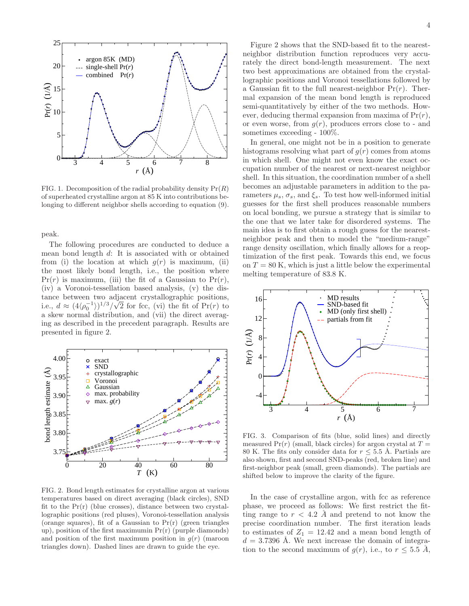

FIG. 1. Decomposition of the radial probability density  $Pr(R)$ of superheated crystalline argon at 85 K into contributions belonging to different neighbor shells according to equation (9).

peak.

The following procedures are conducted to deduce a mean bond length d: It is associated with or obtained from (i) the location at which  $q(r)$  is maximum, (ii) the most likely bond length, i.e., the position where  $Pr(r)$  is maximum, (iii) the fit of a Gaussian to  $Pr(r)$ , (iv) a Voronoi-tessellation based analysis, (v) the distance between two adjacent crystallographic positions, i.e.,  $d \approx (4/\rho_0^{-1}))^{1/3}/\sqrt{2}$  for fcc, (vi) the fit of Pr(r) to a skew normal distribution, and (vii) the direct averaging as described in the precedent paragraph. Results are presented in figure 2.



FIG. 2. Bond length estimates for crystalline argon at various temperatures based on direct averaging (black circles), SND fit to the  $Pr(r)$  (blue crosses), distance between two crystallographic positions (red pluses), Voronoi-tessellation analysis (orange squares), fit of a Gaussian to  $Pr(r)$  (green triangles up), position of the first maximumin Pr(r) (purple diamonds) and position of the first maximum position in  $g(r)$  (maroon triangles down). Dashed lines are drawn to guide the eye.

Figure 2 shows that the SND-based fit to the nearestneighbor distribution function reproduces very accurately the direct bond-length measurement. The next two best approximations are obtained from the crystallographic positions and Voronoi tessellations followed by a Gaussian fit to the full nearest-neighbor  $Pr(r)$ . Thermal expansion of the mean bond length is reproduced semi-quantitatively by either of the two methods. However, deducing thermal expansion from maxima of  $Pr(r)$ , or even worse, from  $g(r)$ , produces errors close to - and sometimes exceeding - 100%.

In general, one might not be in a position to generate histograms resolving what part of  $g(r)$  comes from atoms in which shell. One might not even know the exact occupation number of the nearest or next-nearest neighbor shell. In this situation, the coordination number of a shell becomes an adjustable parameters in addition to the parameters  $\mu_s$ ,  $\sigma_s$ , and  $\xi_s$ . To test how well-informed initial guesses for the first shell produces reasonable numbers on local bonding, we pursue a strategy that is similar to the one that we later take for disordered systems. The main idea is to first obtain a rough guess for the nearestneighbor peak and then to model the "medium-range" range density oscillation, which finally allows for a reoptimization of the first peak. Towards this end, we focus on  $T = 80$  K, which is just a little below the experimental melting temperature of 83.8 K.



FIG. 3. Comparison of fits (blue, solid lines) and directly measured  $Pr(r)$  (small, black circles) for argon crystal at  $T =$ 80 K. The fits only consider data for  $r \leq 5.5$  Å. Partials are also shown, first and second SND-peaks (red, broken line) and first-neighbor peak (small, green diamonds). The partials are shifted below to improve the clarity of the figure.

In the case of crystalline argon, with fcc as reference phase, we proceed as follows: We first restrict the fitting range to  $r < 4.2$  Å and pretend to not know the precise coordination number. The first iteration leads to estimates of  $Z_1 = 12.42$  and a mean bond length of  $d = 3.7396$  Å. We next increase the domain of integration to the second maximum of  $g(r)$ , i.e., to  $r \leq 5.5$  Å,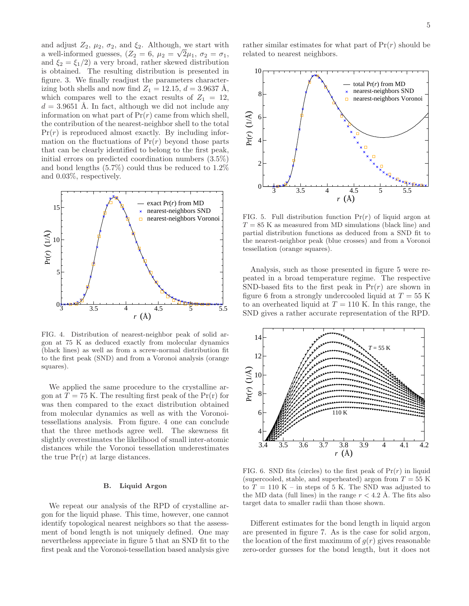and adjust  $Z_2$ ,  $\mu_2$ ,  $\sigma_2$ , and  $\xi_2$ . Although, we start with a well-informed guesses,  $(Z_2 = 6, \mu_2 = \sqrt{2}\mu_1, \sigma_2 = \sigma_1,$ and  $\xi_2 = \xi_1/2$  a very broad, rather skewed distribution is obtained. The resulting distribution is presented in figure. 3. We finally readjust the parameters characterizing both shells and now find  $Z_1 = 12.15$ ,  $d = 3.9637$  Å, which compares well to the exact results of  $Z_1 = 12$ ,  $d = 3.9651$  A. In fact, although we did not include any information on what part of  $Pr(r)$  came from which shell, the contribution of the nearest-neighbor shell to the total  $Pr(r)$  is reproduced almost exactly. By including information on the fluctuations of  $Pr(r)$  beyond those parts that can be clearly identified to belong to the first peak, initial errors on predicted coordination numbers (3.5%) and bond lengths (5.7%) could thus be reduced to 1.2% and 0.03%, respectively.



FIG. 4. Distribution of nearest-neighbor peak of solid argon at 75 K as deduced exactly from molecular dynamics (black lines) as well as from a screw-normal distribution fit to the first peak (SND) and from a Voronoi analysis (orange squares).

We applied the same procedure to the crystalline argon at  $T = 75$  K. The resulting first peak of the Pr(r) for was then compared to the exact distribution obtained from molecular dynamics as well as with the Voronoitessellations analysis. From figure. 4 one can conclude that the three methods agree well. The skewness fit slightly overestimates the likelihood of small inter-atomic distances while the Voronoi tessellation underestimates the true  $Pr(r)$  at large distances.

# B. Liquid Argon

We repeat our analysis of the RPD of crystalline argon for the liquid phase. This time, however, one cannot identify topological nearest neighbors so that the assessment of bond length is not uniquely defined. One may nevertheless appreciate in figure 5 that an SND fit to the first peak and the Voronoi-tessellation based analysis give rather similar estimates for what part of  $Pr(r)$  should be related to nearest neighbors.



FIG. 5. Full distribution function  $Pr(r)$  of liquid argon at  $T = 85$  K as measured from MD simulations (black line) and partial distribution functions as deduced from a SND fit to the nearest-neighbor peak (blue crosses) and from a Voronoi tessellation (orange squares).

Analysis, such as those presented in figure 5 were repeated in a broad temperature regime. The respective SND-based fits to the first peak in  $Pr(r)$  are shown in figure 6 from a strongly undercooled liquid at  $T = 55$  K to an overheated liquid at  $T = 110$  K. In this range, the SND gives a rather accurate representation of the RPD.



FIG. 6. SND fits (circles) to the first peak of  $Pr(r)$  in liquid (supercooled, stable, and superheated) argon from  $T = 55$  K to  $T = 110$  K – in steps of 5 K. The SND was adjusted to the MD data (full lines) in the range  $r < 4.2$  Å. The fits also target data to smaller radii than those shown.

Different estimates for the bond length in liquid argon are presented in figure 7. As is the case for solid argon, the location of the first maximum of  $q(r)$  gives reasonable zero-order guesses for the bond length, but it does not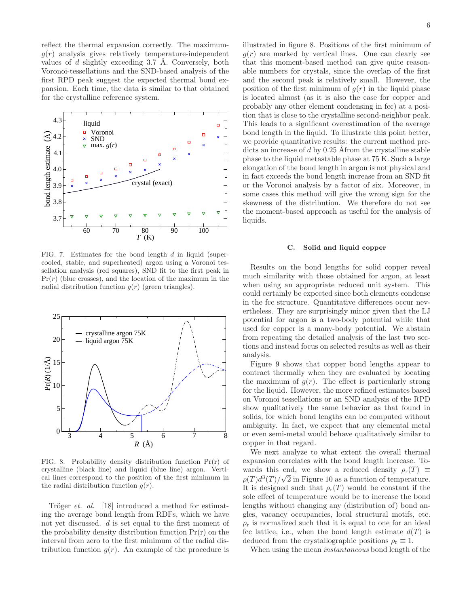reflect the thermal expansion correctly. The maximum $g(r)$  analysis gives relatively temperature-independent values of d slightly exceeding 3.7 Å. Conversely, both Voronoi-tessellations and the SND-based analysis of the first RPD peak suggest the expected thermal bond expansion. Each time, the data is similar to that obtained for the crystalline reference system.



FIG. 7. Estimates for the bond length d in liquid (supercooled, stable, and superheated) argon using a Voronoi tessellation analysis (red squares), SND fit to the first peak in  $Pr(r)$  (blue crosses), and the location of the maximum in the radial distribution function  $g(r)$  (green triangles).



FIG. 8. Probability density distribution function  $Pr(r)$  of crystalline (black line) and liquid (blue line) argon. Vertical lines correspond to the position of the first minimum in the radial distribution function  $g(r)$ .

Tröger *et. al.* [18] introduced a method for estimating the average bond length from RDFs, which we have not yet discussed. d is set equal to the first moment of the probability density distribution function  $Pr(r)$  on the interval from zero to the first minimum of the radial distribution function  $g(r)$ . An example of the procedure is

illustrated in figure 8. Positions of the first minimum of  $g(r)$  are marked by vertical lines. One can clearly see that this moment-based method can give quite reasonable numbers for crystals, since the overlap of the first and the second peak is relatively small. However, the position of the first minimum of  $g(r)$  in the liquid phase is located almost (as it is also the case for copper and probably any other element condensing in fcc) at a position that is close to the crystalline second-neighbor peak. This leads to a significant overestimation of the average bond length in the liquid. To illustrate this point better, we provide quantitative results: the current method predicts an increase of  $d$  by 0.25 Åfrom the crystalline stable phase to the liquid metastable phase at 75 K. Such a large elongation of the bond length in argon is not physical and in fact exceeds the bond length increase from an SND fit or the Voronoi analysis by a factor of six. Moreover, in some cases this method will give the wrong sign for the skewness of the distribution. We therefore do not see the moment-based approach as useful for the analysis of liquids.

## C. Solid and liquid copper

Results on the bond lengths for solid copper reveal much similarity with those obtained for argon, at least when using an appropriate reduced unit system. This could certainly be expected since both elements condense in the fcc structure. Quantitative differences occur nevertheless. They are surprisingly minor given that the LJ potential for argon is a two-body potential while that used for copper is a many-body potential. We abstain from repeating the detailed analysis of the last two sections and instead focus on selected results as well as their analysis.

Figure 9 shows that copper bond lengths appear to contract thermally when they are evaluated by locating the maximum of  $q(r)$ . The effect is particularly strong for the liquid. However, the more refined estimates based on Voronoi tessellations or an SND analysis of the RPD show qualitatively the same behavior as that found in solids, for which bond lengths can be computed without ambiguity. In fact, we expect that any elemental metal or even semi-metal would behave qualitatively similar to copper in that regard.

We next analyze to what extent the overall thermal expansion correlates with the bond length increase. Towards this end, we show a reduced density  $\rho_r(T) \equiv$  $\rho(T)d^3(T)/\sqrt{2}$  in Figure 10 as a function of temperature. It is designed such that  $\rho_{r}(T)$  would be constant if the sole effect of temperature would be to increase the bond lengths without changing any (distribution of) bond angles, vacancy occupancies, local structural motifs, etc.  $\rho_r$  is normalized such that it is equal to one for an ideal fcc lattice, i.e., when the bond length estimate  $d(T)$  is deduced from the crystallographic positions  $\rho_r \equiv 1$ .

When using the mean instantaneous bond length of the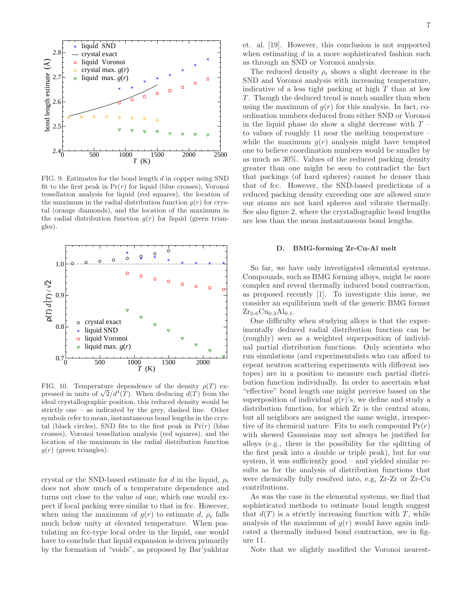

FIG. 9. Estimates for the bond length d in copper using SND fit to the first peak in  $Pr(r)$  for liquid (blue crosses), Voronoi tessellation analysis for liquid (red squares), the location of the maximum in the radial distribution function  $g(r)$  for crystal (orange diamonds), and the location of the maximum in the radial distribution function  $g(r)$  for liquid (green triangles).



FIG. 10. Temperature dependence of the density  $\rho(T)$  expressed in units of  $\sqrt{2}/d^3(T)$ . When deducing  $d(T)$  from the ideal crystallographic position, this reduced density would be strictly one – as indicated by the grey, dashed line. Other symbols refer to mean, instantaneous bond lengths in the crystal (black circles), SND fits to the first peak in  $Pr(r)$  (blue crosses), Voronoi tessellation analysis (red squares), and the location of the maximum in the radial distribution function  $g(r)$  (green triangles).

crystal or the SND-based estimate for d in the liquid,  $\rho_r$ does not show much of a temperature dependence and turns out close to the value of one, which one would expect if local packing were similar to that in fcc. However, when using the maximum of  $q(r)$  to estimate d,  $\rho_r$  falls much below unity at elevated temperature. When postulating an fcc-type local order in the liquid, one would have to conclude that liquid expansion is driven primarily by the formation of "voids", as proposed by Bar'yakhtar

The reduced density  $\rho_r$  shows a slight decrease in the SND and Voronoi analysis with increasing temperature, indicative of a less tight packing at high  $T$  than at low T. Though the deduced trend is much smaller than when using the maximum of  $q(r)$  for this analysis. In fact, coordination numbers deduced from either SND or Voronoi in the liquid phase do show a slight decrease with  $T$ to values of roughly 11 near the melting temperature – while the maximum  $g(r)$  analysis might have tempted one to believe coordination numbers would be smaller by as much as 30%. Values of the reduced packing density greater than one might be seen to contradict the fact that packings (of hard spheres) cannot be denser than that of fcc. However, the SND-based predictions of a reduced packing density exceeding one are allowed since our atoms are not hard spheres and vibrate thermally. See also figure 2, where the crystallographic bond lengths are less than the mean instantaneous bond lengths.

#### D. BMG-forming Zr-Cu-Al melt

So far, we have only investigated elemental systems. Compounds, such as BMG forming alloys, might be more complex and reveal thermally induced bond contraction, as proposed recently [1]. To investigate this issue, we consider an equilibrium melt of the generic BMG former  $Zr_{0.6}Cu_{0.3}Al_{0.1}.$ 

One difficulty when studying alloys is that the experimentally deduced radial distribution function can be (roughly) seen as a weighted superposition of individual partial distribution functions. Only scientists who run simulations (and experimentalists who can afford to repeat neutron scattering experiments with different isotopes) are in a position to measure each partial distribution function individually. In order to ascertain what "effective" bond length one might perceive based on the superposition of individual  $g(r)$ 's, we define and study a distribution function, for which Zr is the central atom, but all neighbors are assigned the same weight, irrespective of its chemical nature. Fits to such compound  $Pr(r)$ with skewed Gaussians may not always be justified for alloys (e.g., there is the possibility for the splitting of the first peak into a double or triple peak), but for our system, it was sufficiently good – and yielded similar results as for the analysis of distribution functions that were chemically fully resolved into, e.g, Zr-Zr or Zr-Cu contributions.

As was the case in the elemental systems, we find that sophisticated methods to estimate bond length suggest that  $d(T)$  is a strictly increasing function with T, while analysis of the maximum of  $q(r)$  would have again indicated a thermally induced bond contraction, see in figure 11.

Note that we slightly modified the Voronoi nearest-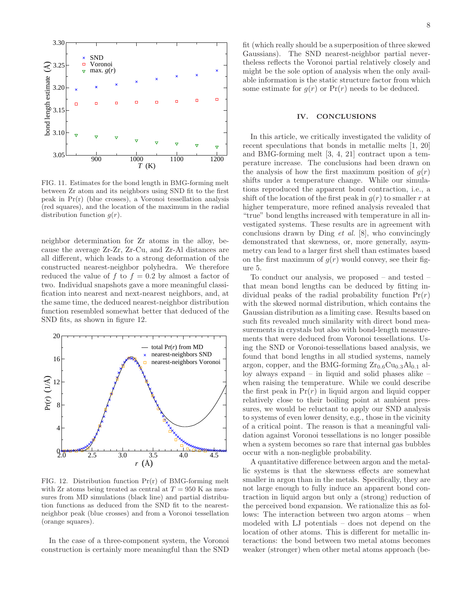

FIG. 11. Estimates for the bond length in BMG-forming melt between Zr atom and its neighbors using SND fit to the first peak in Pr(r) (blue crosses), a Voronoi tessellation analysis (red squares), and the location of the maximum in the radial distribution function  $g(r)$ .

neighbor determination for Zr atoms in the alloy, because the average Zr-Zr, Zr-Cu, and Zr-Al distances are all different, which leads to a strong deformation of the constructed nearest-neighbor polyhedra. We therefore reduced the value of f to  $f = 0.2$  by almost a factor of two. Individual snapshots gave a more meaningful classification into nearest and next-nearest neighbors, and, at the same time, the deduced nearest-neighbor distribution function resembled somewhat better that deduced of the SND fits, as shown in figure 12.



FIG. 12. Distribution function Pr(r) of BMG-forming melt with Zr atoms being treated as central at  $T = 950$  K as measures from MD simulations (black line) and partial distribution functions as deduced from the SND fit to the nearestneighbor peak (blue crosses) and from a Voronoi tessellation (orange squares).

In the case of a three-component system, the Voronoi construction is certainly more meaningful than the SND

fit (which really should be a superposition of three skewed Gaussians). The SND nearest-neighbor partial nevertheless reflects the Voronoi partial relatively closely and might be the sole option of analysis when the only available information is the static structure factor from which some estimate for  $g(r)$  or  $Pr(r)$  needs to be deduced.

# IV. CONCLUSIONS

In this article, we critically investigated the validity of recent speculations that bonds in metallic melts [1, 20] and BMG-forming melt [3, 4, 21] contract upon a temperature increase. The conclusions had been drawn on the analysis of how the first maximum position of  $g(r)$ shifts under a temperature change. While our simulations reproduced the apparent bond contraction, i.e., a shift of the location of the first peak in  $g(r)$  to smaller r at higher temperature, more refined analysis revealed that "true" bond lengths increased with temperature in all investigated systems. These results are in agreement with conclusions drawn by Ding et al. [8], who convincingly demonstrated that skewness, or, more generally, asymmetry can lead to a larger first shell than estimates based on the first maximum of  $g(r)$  would convey, see their figure 5.

To conduct our analysis, we proposed – and tested – that mean bond lengths can be deduced by fitting individual peaks of the radial probability function  $Pr(r)$ with the skewed normal distribution, which contains the Gaussian distribution as a limiting case. Results based on such fits revealed much similarity with direct bond measurements in crystals but also with bond-length measurements that were deduced from Voronoi tessellations. Using the SND or Voronoi-tessellations based analysis, we found that bond lengths in all studied systems, namely argon, copper, and the BMG-forming  $Zr_{0.6}Cu_{0.3}Al_{0.1}$  alloy always expand – in liquid and solid phases alike – when raising the temperature. While we could describe the first peak in  $Pr(r)$  in liquid argon and liquid copper relatively close to their boiling point at ambient pressures, we would be reluctant to apply our SND analysis to systems of even lower density, e.g., those in the vicinity of a critical point. The reason is that a meaningful validation against Voronoi tessellations is no longer possible when a system becomes so rare that internal gas bubbles occur with a non-negligble probability.

A quantitative difference between argon and the metallic systems is that the skewness effects are somewhat smaller in argon than in the metals. Specifically, they are not large enough to fully induce an apparent bond contraction in liquid argon but only a (strong) reduction of the perceived bond expansion. We rationalize this as follows: The interaction between two argon atoms – when modeled with LJ potentials – does not depend on the location of other atoms. This is different for metallic interactions: the bond between two metal atoms becomes weaker (stronger) when other metal atoms approach (be